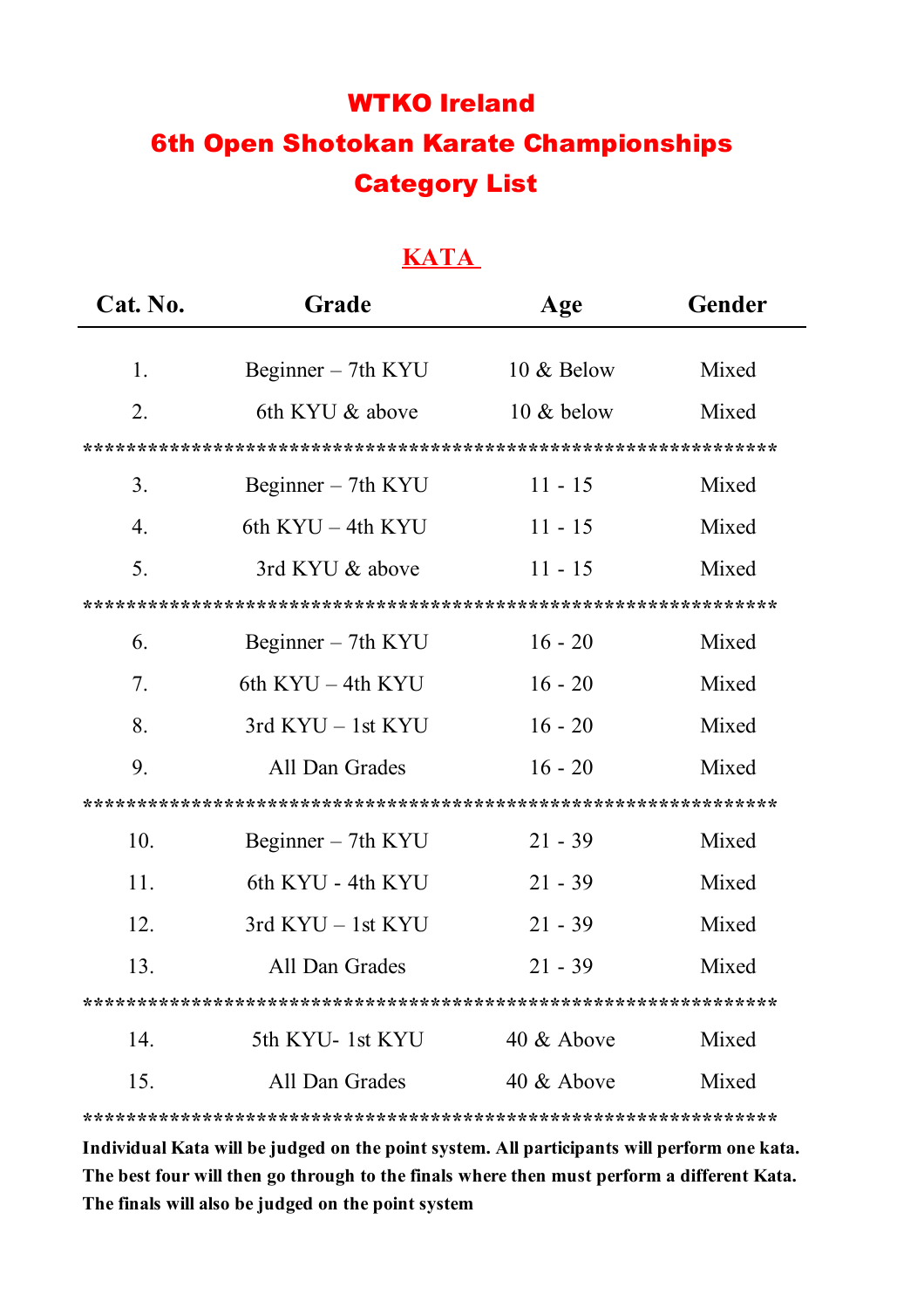# WTKO Ireland 6th Open Shotokan Karate Championships Category List

#### **KATA**

| Cat. No.         | Grade                 | Age           | Gender |  |
|------------------|-----------------------|---------------|--------|--|
|                  |                       |               |        |  |
| 1.               | Beginner $-$ 7th KYU  | 10 & Below    | Mixed  |  |
| 2.               | 6th KYU & above       | $10 \&$ below | Mixed  |  |
|                  |                       |               |        |  |
| 3 <sub>1</sub>   | Beginner $-$ 7th KYU  | $11 - 15$     | Mixed  |  |
| $\overline{4}$ . | 6th $KYU - 4th KYU$   | $11 - 15$     | Mixed  |  |
| 5.               | 3rd KYU & above       | $11 - 15$     | Mixed  |  |
|                  |                       |               |        |  |
| 6.               | Beginner – 7th KYU    | $16 - 20$     | Mixed  |  |
| 7.               | 6th $KYU - 4th KYU$   | $16 - 20$     | Mixed  |  |
| 8.               | $3rd$ KYU $-$ 1st KYU | $16 - 20$     | Mixed  |  |
| 9.               | All Dan Grades        | $16 - 20$     | Mixed  |  |
|                  |                       |               |        |  |
| 10.              | Beginner – 7th KYU    | $21 - 39$     | Mixed  |  |
| 11.              | 6th KYU - 4th KYU     | $21 - 39$     | Mixed  |  |
| 12.              | $3rd$ KYU $-$ 1st KYU | $21 - 39$     | Mixed  |  |
| 13.              | All Dan Grades        | $21 - 39$     | Mixed  |  |
|                  |                       |               |        |  |
| 14.              | 5th KYU-1st KYU       | 40 & Above    | Mixed  |  |
| 15.              | All Dan Grades        | 40 $&$ Above  | Mixed  |  |
|                  |                       |               |        |  |

**Individual Kata will be judged on the point system. All participants will perform one kata. The best four will then go through to the finals where then must perform a different Kata. The finals will also be judged on the point system**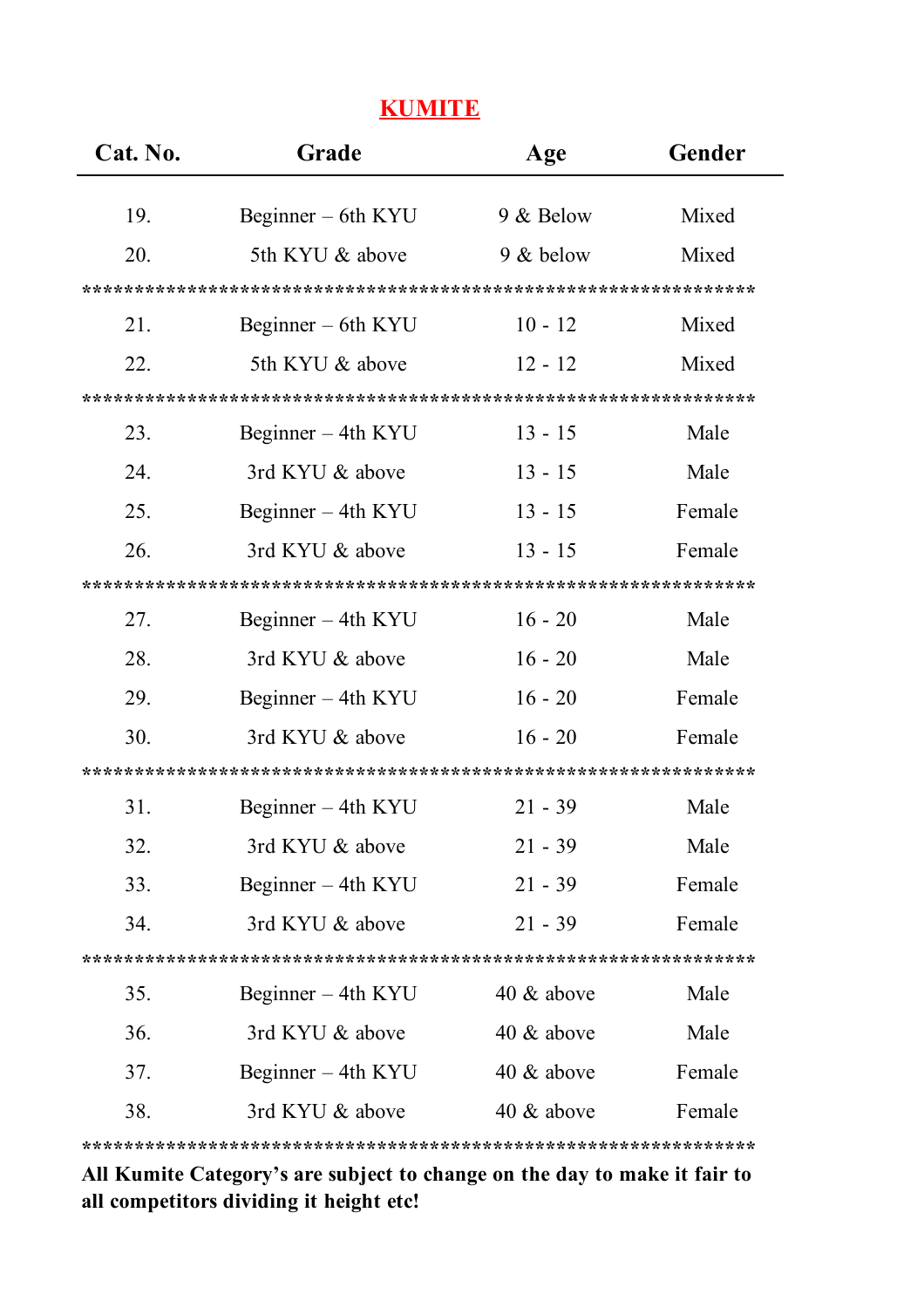### **KUMITE**

| Cat. No. | Grade                | Age           | Gender |  |
|----------|----------------------|---------------|--------|--|
| 19.      | Beginner – 6th KYU   | 9 & Below     | Mixed  |  |
|          |                      |               |        |  |
| 20.      | 5th KYU & above      | 9 & below     | Mixed  |  |
|          |                      |               |        |  |
| 21.      | Beginner $-$ 6th KYU | $10 - 12$     | Mixed  |  |
| 22.      | 5th KYU & above      | $12 - 12$     | Mixed  |  |
|          |                      |               |        |  |
| 23.      | Beginner – 4th KYU   | $13 - 15$     | Male   |  |
| 24.      | 3rd KYU & above      | $13 - 15$     | Male   |  |
| 25.      | Beginner – 4th KYU   | $13 - 15$     | Female |  |
| 26.      | 3rd KYU & above      | $13 - 15$     | Female |  |
|          |                      |               |        |  |
| 27.      | Beginner – 4th KYU   | $16 - 20$     | Male   |  |
| 28.      | 3rd KYU & above      | $16 - 20$     | Male   |  |
| 29.      | Beginner – 4th KYU   | $16 - 20$     | Female |  |
| 30.      | 3rd KYU & above      | $16 - 20$     | Female |  |
|          |                      |               |        |  |
| 31.      | Beginner $-$ 4th KYU | $21 - 39$     | Male   |  |
| 32.      | 3rd KYU & above      | $21 - 39$     | Male   |  |
| 33.      | Beginner – 4th KYU   | $21 - 39$     | Female |  |
| 34.      | 3rd KYU & above      | $21 - 39$     | Female |  |
|          |                      |               |        |  |
| 35.      | Beginner – 4th KYU   | 40 $\&$ above | Male   |  |
| 36.      | 3rd KYU & above      | 40 $&$ above  | Male   |  |
| 37.      | Beginner – 4th KYU   | 40 $\&$ above | Female |  |
| 38.      | 3rd KYU & above      | 40 $&$ above  | Female |  |
|          |                      |               |        |  |

**All Kumite Category's are subject to change on the day to make it fair to all competitors dividing it height etc!**